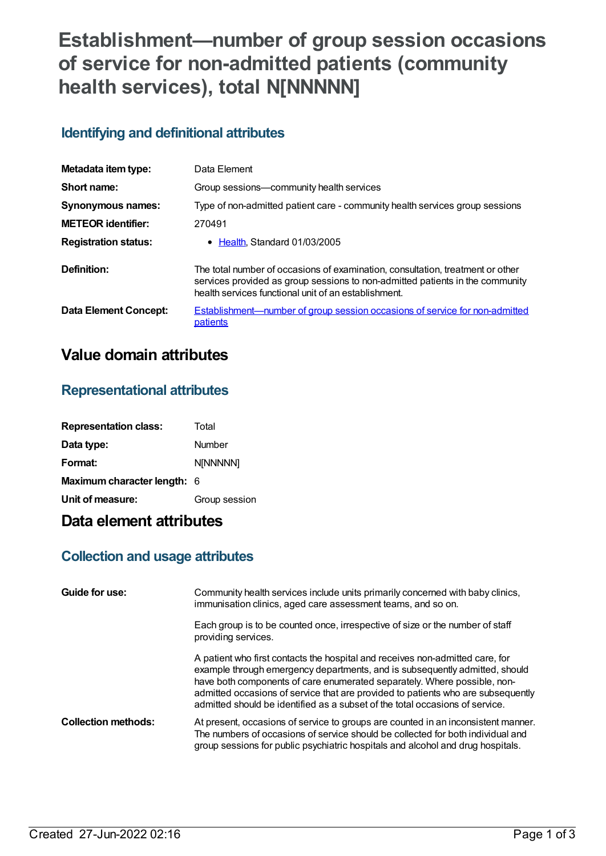# **Establishment—number of group session occasions of service for non-admitted patients (community health services), total N[NNNNN]**

### **Identifying and definitional attributes**

| Metadata item type:         | Data Element                                                                                                                                                                                                            |
|-----------------------------|-------------------------------------------------------------------------------------------------------------------------------------------------------------------------------------------------------------------------|
| Short name:                 | Group sessions—community health services                                                                                                                                                                                |
| <b>Synonymous names:</b>    | Type of non-admitted patient care - community health services group sessions                                                                                                                                            |
| <b>METEOR</b> identifier:   | 270491                                                                                                                                                                                                                  |
| <b>Registration status:</b> | • Health Standard 01/03/2005                                                                                                                                                                                            |
| Definition:                 | The total number of occasions of examination, consultation, treatment or other<br>services provided as group sessions to non-admitted patients in the community<br>health services functional unit of an establishment. |
| Data Element Concept:       | <b>Establishment—number of group session occasions of service for non-admitted</b><br>patients                                                                                                                          |

## **Value domain attributes**

### **Representational attributes**

| <b>Representation class:</b>       | Total         |
|------------------------------------|---------------|
| Data type:                         | Number        |
| Format:                            | N[NNNNN]      |
| <b>Maximum character length: 6</b> |               |
| Unit of measure:                   | Group session |

## **Data element attributes**

### **Collection and usage attributes**

| Guide for use:             | Community health services include units primarily concerned with baby clinics,<br>immunisation clinics, aged care assessment teams, and so on.                                                                                                                                                                                                                                                               |
|----------------------------|--------------------------------------------------------------------------------------------------------------------------------------------------------------------------------------------------------------------------------------------------------------------------------------------------------------------------------------------------------------------------------------------------------------|
|                            | Each group is to be counted once, irrespective of size or the number of staff<br>providing services.                                                                                                                                                                                                                                                                                                         |
|                            | A patient who first contacts the hospital and receives non-admitted care, for<br>example through emergency departments, and is subsequently admitted, should<br>have both components of care enumerated separately. Where possible, non-<br>admitted occasions of service that are provided to patients who are subsequently<br>admitted should be identified as a subset of the total occasions of service. |
| <b>Collection methods:</b> | At present, occasions of service to groups are counted in an inconsistent manner.<br>The numbers of occasions of service should be collected for both individual and<br>group sessions for public psychiatric hospitals and alcohol and drug hospitals.                                                                                                                                                      |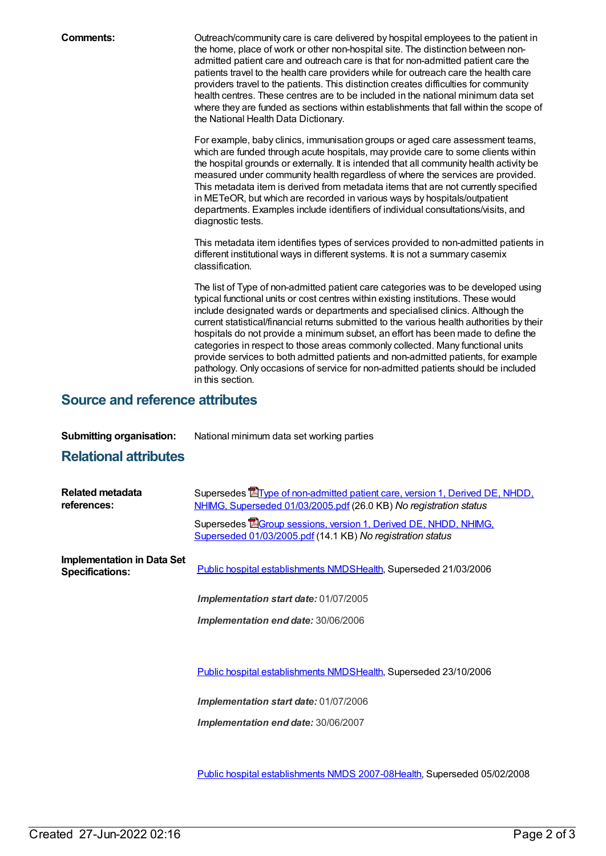**Comments: Comments:** Outreach/community care is care delivered by hospital employees to the patient in the home, place of work or other non-hospital site. The distinction between nonadmitted patient care and outreach care is that for non-admitted patient care the patients travel to the health care providers while for outreach care the health care providers travel to the patients. This distinction creates difficulties for community health centres. These centres are to be included in the national minimum data set where they are funded as sections within establishments that fall within the scope of the National Health Data Dictionary.

> For example, baby clinics, immunisation groups or aged care assessment teams, which are funded through acute hospitals, may provide care to some clients within the hospital grounds or externally. It is intended that all community health activity be measured under community health regardless of where the services are provided. This metadata item is derived from metadata items that are not currently specified in METeOR, but which are recorded in various ways by hospitals/outpatient departments. Examples include identifiers of individual consultations/visits, and diagnostic tests.

This metadata item identifies types of services provided to non-admitted patients in different institutional ways in different systems. It is not a summary casemix classification.

The list of Type of non-admitted patient care categories was to be developed using typical functional units or cost centres within existing institutions. These would include designated wards or departments and specialised clinics. Although the current statistical/financial returns submitted to the various health authorities by their hospitals do not provide a minimum subset, an effort has been made to define the categories in respect to those areas commonly collected. Many functional units provide services to both admitted patients and non-admitted patients, for example pathology. Only occasions of service for non-admitted patients should be included in this section.

#### **Source and reference attributes**

| <b>Submitting organisation:</b> | National minimum data set working parties |
|---------------------------------|-------------------------------------------|
|---------------------------------|-------------------------------------------|

#### **Relational attributes**

| Related metadata<br>references:                             | Supersedes <b>E</b> Type of non-admitted patient care, version 1, Derived DE, NHDD,<br>NHIMG, Superseded 01/03/2005.pdf (26.0 KB) No registration status |
|-------------------------------------------------------------|----------------------------------------------------------------------------------------------------------------------------------------------------------|
|                                                             | Supersedes EGroup sessions, version 1, Derived DE, NHDD, NHIMG,<br>Superseded 01/03/2005.pdf (14.1 KB) No registration status                            |
| <b>Implementation in Data Set</b><br><b>Specifications:</b> | Public hospital establishments NMDSHealth, Superseded 21/03/2006                                                                                         |
|                                                             | <b>Implementation start date: 01/07/2005</b>                                                                                                             |
|                                                             | Implementation end date: 30/06/2006                                                                                                                      |
|                                                             |                                                                                                                                                          |
|                                                             | Public hospital establishments NMDSHealth, Superseded 23/10/2006                                                                                         |
|                                                             | Implementation start date: 01/07/2006                                                                                                                    |
|                                                             | Implementation end date: 30/06/2007                                                                                                                      |

Public hospital [establishments](https://meteor.aihw.gov.au/content/345139) NMDS 2007-08[Health](https://meteor.aihw.gov.au/RegistrationAuthority/12), Superseded 05/02/2008